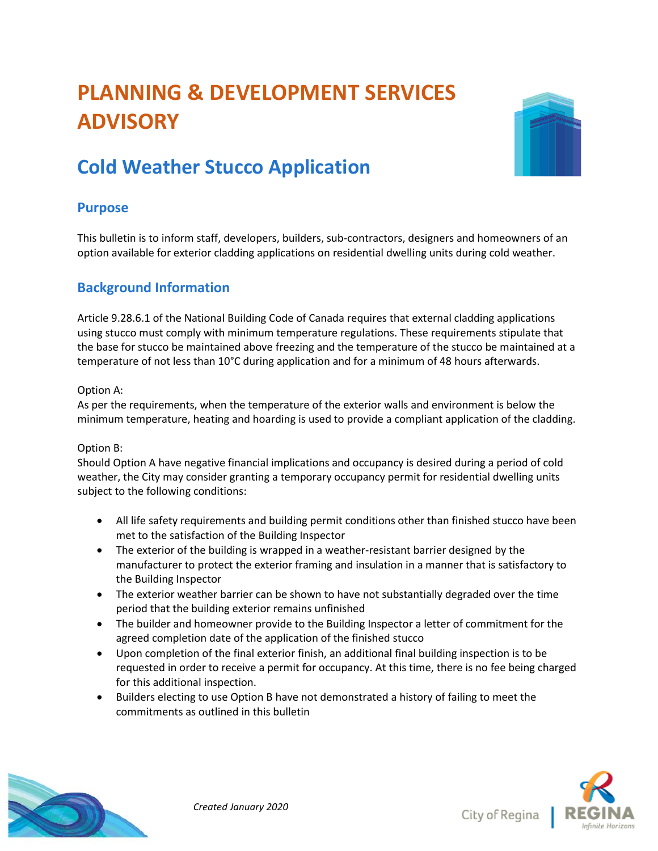# **PLANNING & DEVELOPMENT SERVICES ADVISORY**



## **Cold Weather Stucco Application**

### **Purpose**

This bulletin is to inform staff, developers, builders, sub-contractors, designers and homeowners of an option available for exterior cladding applications on residential dwelling units during cold weather.

### **Background Information**

Article 9.28.6.1 of the National Building Code of Canada requires that external cladding applications using stucco must comply with minimum temperature regulations. These requirements stipulate that the base for stucco be maintained above freezing and the temperature of the stucco be maintained at a temperature of not less than 10°C during application and for a minimum of 48 hours afterwards.

#### Option A:

As per the requirements, when the temperature of the exterior walls and environment is below the minimum temperature, heating and hoarding is used to provide a compliant application of the cladding.

#### Option B:

Should Option A have negative financial implications and occupancy is desired during a period of cold weather, the City may consider granting a temporary occupancy permit for residential dwelling units subject to the following conditions:

- All life safety requirements and building permit conditions other than finished stucco have been met to the satisfaction of the Building Inspector
- The exterior of the building is wrapped in a weather-resistant barrier designed by the manufacturer to protect the exterior framing and insulation in a manner that is satisfactory to the Building Inspector
- The exterior weather barrier can be shown to have not substantially degraded over the time period that the building exterior remains unfinished
- The builder and homeowner provide to the Building Inspector a letter of commitment for the agreed completion date of the application of the finished stucco
- Upon completion of the final exterior finish, an additional final building inspection is to be requested in order to receive a permit for occupancy. At this time, there is no fee being charged for this additional inspection.
- Builders electing to use Option B have not demonstrated a history of failing to meet the commitments as outlined in this bulletin



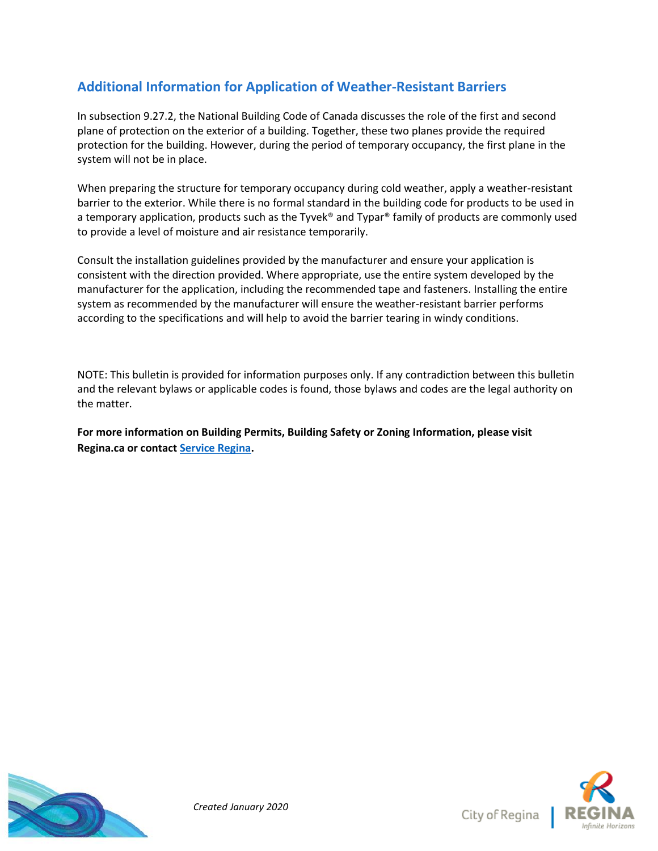## **Additional Information for Application of Weather-Resistant Barriers**

In subsection 9.27.2, the National Building Code of Canada discusses the role of the first and second plane of protection on the exterior of a building. Together, these two planes provide the required protection for the building. However, during the period of temporary occupancy, the first plane in the system will not be in place.

When preparing the structure for temporary occupancy during cold weather, apply a weather-resistant barrier to the exterior. While there is no formal standard in the building code for products to be used in a temporary application, products such as the Tyvek® and Typar® family of products are commonly used to provide a level of moisture and air resistance temporarily.

Consult the installation guidelines provided by the manufacturer and ensure your application is consistent with the direction provided. Where appropriate, use the entire system developed by the manufacturer for the application, including the recommended tape and fasteners. Installing the entire system as recommended by the manufacturer will ensure the weather-resistant barrier performs according to the specifications and will help to avoid the barrier tearing in windy conditions.

NOTE: This bulletin is provided for information purposes only. If any contradiction between this bulletin and the relevant bylaws or applicable codes is found, those bylaws and codes are the legal authority on the matter.

**For more information on Building Permits, Building Safety or Zoning Information, please visit Regina.ca or contact [Service Regina.](https://www.regina.ca/about-regina/contact-us/)**